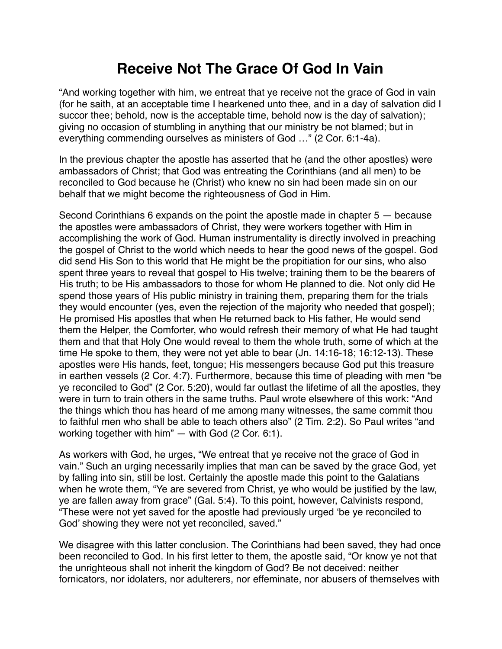## **Receive Not The Grace Of God In Vain**

"And working together with him, we entreat that ye receive not the grace of God in vain (for he saith, at an acceptable time I hearkened unto thee, and in a day of salvation did I succor thee; behold, now is the acceptable time, behold now is the day of salvation); giving no occasion of stumbling in anything that our ministry be not blamed; but in everything commending ourselves as ministers of God …" (2 Cor. 6:1-4a).

In the previous chapter the apostle has asserted that he (and the other apostles) were ambassadors of Christ; that God was entreating the Corinthians (and all men) to be reconciled to God because he (Christ) who knew no sin had been made sin on our behalf that we might become the righteousness of God in Him.

Second Corinthians 6 expands on the point the apostle made in chapter 5 — because the apostles were ambassadors of Christ, they were workers together with Him in accomplishing the work of God. Human instrumentality is directly involved in preaching the gospel of Christ to the world which needs to hear the good news of the gospel. God did send His Son to this world that He might be the propitiation for our sins, who also spent three years to reveal that gospel to His twelve; training them to be the bearers of His truth; to be His ambassadors to those for whom He planned to die. Not only did He spend those years of His public ministry in training them, preparing them for the trials they would encounter (yes, even the rejection of the majority who needed that gospel); He promised His apostles that when He returned back to His father, He would send them the Helper, the Comforter, who would refresh their memory of what He had taught them and that that Holy One would reveal to them the whole truth, some of which at the time He spoke to them, they were not yet able to bear (Jn. 14:16-18; 16:12-13). These apostles were His hands, feet, tongue; His messengers because God put this treasure in earthen vessels (2 Cor. 4:7). Furthermore, because this time of pleading with men "be ye reconciled to God" (2 Cor. 5:20), would far outlast the lifetime of all the apostles, they were in turn to train others in the same truths. Paul wrote elsewhere of this work: "And the things which thou has heard of me among many witnesses, the same commit thou to faithful men who shall be able to teach others also" (2 Tim. 2:2). So Paul writes "and working together with him" — with God (2 Cor. 6:1).

As workers with God, he urges, "We entreat that ye receive not the grace of God in vain." Such an urging necessarily implies that man can be saved by the grace God, yet by falling into sin, still be lost. Certainly the apostle made this point to the Galatians when he wrote them, "Ye are severed from Christ, ye who would be justified by the law, ye are fallen away from grace" (Gal. 5:4). To this point, however, Calvinists respond, "These were not yet saved for the apostle had previously urged 'be ye reconciled to God' showing they were not yet reconciled, saved."

We disagree with this latter conclusion. The Corinthians had been saved, they had once been reconciled to God. In his first letter to them, the apostle said, "Or know ye not that the unrighteous shall not inherit the kingdom of God? Be not deceived: neither fornicators, nor idolaters, nor adulterers, nor effeminate, nor abusers of themselves with